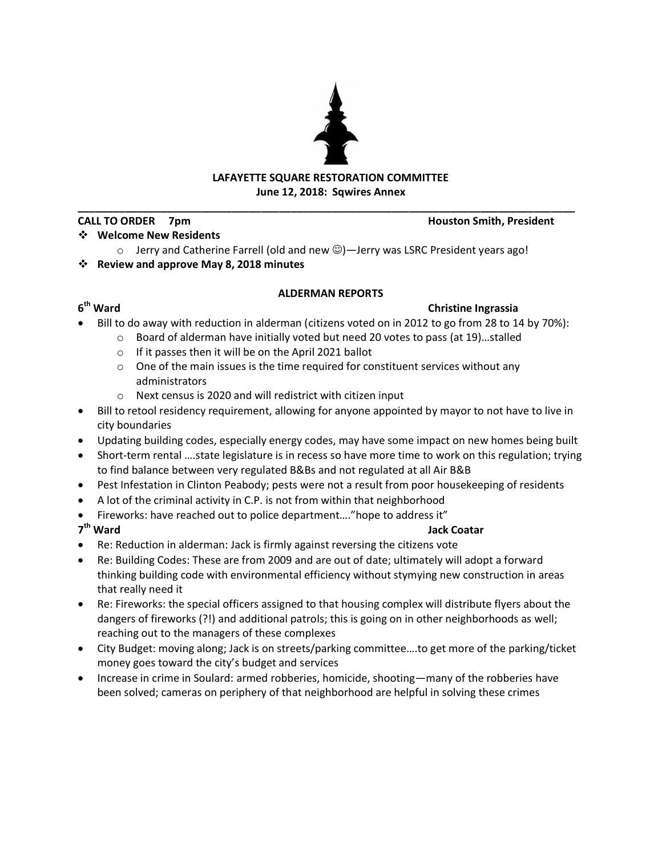# **LAFAYETTE SQUARE RESTORATION COMMITTEE June 12, 2018: Sqwires Annex**

**\_\_\_\_\_\_\_\_\_\_\_\_\_\_\_\_\_\_\_\_\_\_\_\_\_\_\_\_\_\_\_\_\_\_\_\_\_\_\_\_\_\_\_\_\_\_\_\_\_\_\_\_\_\_\_\_\_\_\_\_\_\_\_\_\_\_\_\_\_\_\_\_\_\_\_\_\_\_\_\_\_\_\_\_**

## **CALL TO ORDER 7pm Houston Smith, President**

# **Welcome New Residents**

 $\circ$  Jerry and Catherine Farrell (old and new  $\circledcirc$ ) — Jerry was LSRC President years ago!

# **Review and approve May 8, 2018 minutes**

# **ALDERMAN REPORTS**

# **6**

# **Christine Ingrassia**

- Bill to do away with reduction in alderman (citizens voted on in 2012 to go from 28 to 14 by 70%):
	- o Board of alderman have initially voted but need 20 votes to pass (at 19)…stalled
		- o If it passes then it will be on the April 2021 ballot
		- o One of the main issues is the time required for constituent services without any administrators
		- o Next census is 2020 and will redistrict with citizen input
- Bill to retool residency requirement, allowing for anyone appointed by mayor to not have to live in city boundaries
- Updating building codes, especially energy codes, may have some impact on new homes being built
- Short-term rental ….state legislature is in recess so have more time to work on this regulation; trying to find balance between very regulated B&Bs and not regulated at all Air B&B
- Pest Infestation in Clinton Peabody; pests were not a result from poor housekeeping of residents
- A lot of the criminal activity in C.P. is not from within that neighborhood
- Fireworks: have reached out to police department…."hope to address it"

### 7<sup>th</sup> Ward **th Ward Jack Coatar**

- Re: Reduction in alderman: Jack is firmly against reversing the citizens vote
- Re: Building Codes: These are from 2009 and are out of date; ultimately will adopt a forward thinking building code with environmental efficiency without stymying new construction in areas that really need it
- Re: Fireworks: the special officers assigned to that housing complex will distribute flyers about the dangers of fireworks (?!) and additional patrols; this is going on in other neighborhoods as well; reaching out to the managers of these complexes
- City Budget: moving along; Jack is on streets/parking committee….to get more of the parking/ticket money goes toward the city's budget and services
- Increase in crime in Soulard: armed robberies, homicide, shooting—many of the robberies have been solved; cameras on periphery of that neighborhood are helpful in solving these crimes

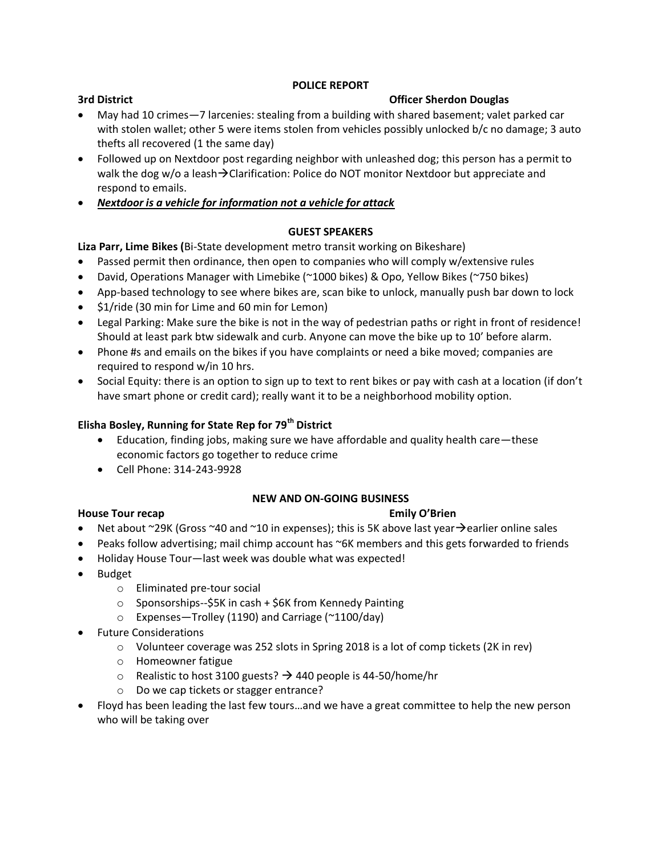### **POLICE REPORT**

## **3rd District Community Community Community Community Community Community Community Community Community Community Community Community Community Community Community Community Community Community Community Community Communit**

- May had 10 crimes—7 larcenies: stealing from a building with shared basement; valet parked car with stolen wallet; other 5 were items stolen from vehicles possibly unlocked b/c no damage; 3 auto thefts all recovered (1 the same day)
- Followed up on Nextdoor post regarding neighbor with unleashed dog; this person has a permit to walk the dog w/o a leash $\rightarrow$ Clarification: Police do NOT monitor Nextdoor but appreciate and respond to emails.
- *Nextdoor is a vehicle for information not a vehicle for attack*

## **GUEST SPEAKERS**

**Liza Parr, Lime Bikes (**Bi-State development metro transit working on Bikeshare)

- Passed permit then ordinance, then open to companies who will comply w/extensive rules
- David, Operations Manager with Limebike (~1000 bikes) & Opo, Yellow Bikes (~750 bikes)
- App-based technology to see where bikes are, scan bike to unlock, manually push bar down to lock
- \$1/ride (30 min for Lime and 60 min for Lemon)
- Legal Parking: Make sure the bike is not in the way of pedestrian paths or right in front of residence! Should at least park btw sidewalk and curb. Anyone can move the bike up to 10' before alarm.
- Phone #s and emails on the bikes if you have complaints or need a bike moved; companies are required to respond w/in 10 hrs.
- Social Equity: there is an option to sign up to text to rent bikes or pay with cash at a location (if don't have smart phone or credit card); really want it to be a neighborhood mobility option.

## **Elisha Bosley, Running for State Rep for 79th District**

- Education, finding jobs, making sure we have affordable and quality health care—these economic factors go together to reduce crime
- Cell Phone: 314-243-9928

### **NEW AND ON-GOING BUSINESS**

# **House Tour recap Emily O'Brien**

- Net about  $\sim$ 29K (Gross  $\sim$ 40 and  $\sim$ 10 in expenses); this is 5K above last year $\rightarrow$ earlier online sales
- Peaks follow advertising; mail chimp account has ~6K members and this gets forwarded to friends
- Holiday House Tour—last week was double what was expected!
- Budget
	- o Eliminated pre-tour social
	- o Sponsorships--\$5K in cash + \$6K from Kennedy Painting
	- o Expenses—Trolley (1190) and Carriage (~1100/day)
- Future Considerations
	- o Volunteer coverage was 252 slots in Spring 2018 is a lot of comp tickets (2K in rev)
	- o Homeowner fatigue
	- o Realistic to host 3100 guests?  $\rightarrow$  440 people is 44-50/home/hr
	- o Do we cap tickets or stagger entrance?
- Floyd has been leading the last few tours…and we have a great committee to help the new person who will be taking over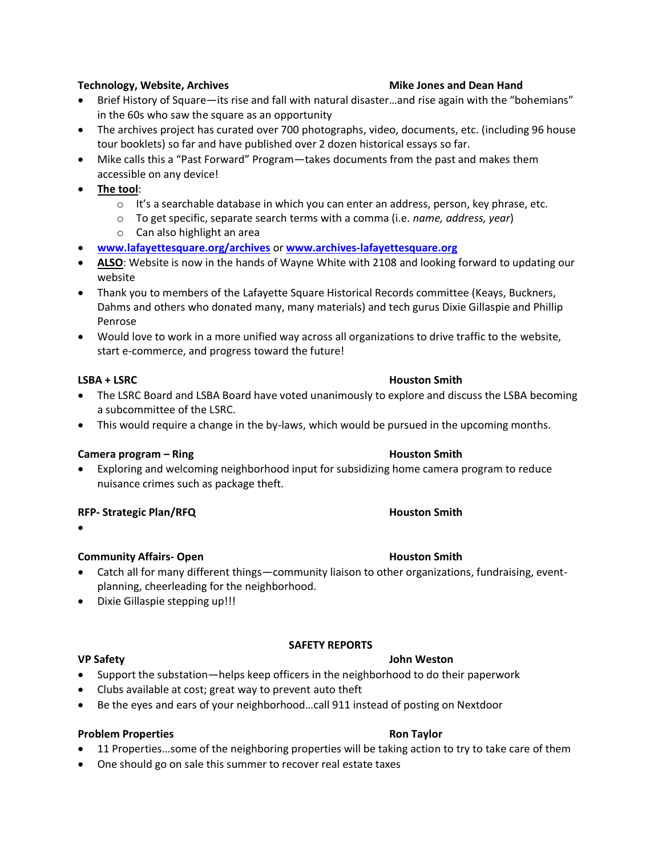### **Technology, Website, Archives Mike Jones and Dean Hand**

- Brief History of Square—its rise and fall with natural disaster…and rise again with the "bohemians" in the 60s who saw the square as an opportunity
- The archives project has curated over 700 photographs, video, documents, etc. (including 96 house tour booklets) so far and have published over 2 dozen historical essays so far.
- Mike calls this a "Past Forward" Program—takes documents from the past and makes them accessible on any device!
- **The tool**:
	- $\circ$  It's a searchable database in which you can enter an address, person, key phrase, etc.
	- o To get specific, separate search terms with a comma (i.e. *name, address, year*)
	- o Can also highlight an area
- **[www.lafayettesquare.org/archives](http://www.lafayettesquare.org/archives)** or **[www.archives-lafayettesquare.org](http://www.archives-lafayettesquare.org/)**
- **ALSO**: Website is now in the hands of Wayne White with 2108 and looking forward to updating our website
- Thank you to members of the Lafayette Square Historical Records committee (Keays, Buckners, Dahms and others who donated many, many materials) and tech gurus Dixie Gillaspie and Phillip Penrose
- Would love to work in a more unified way across all organizations to drive traffic to the website, start e-commerce, and progress toward the future!

### **LSBA + LSRC Houston Smith**

- The LSRC Board and LSBA Board have voted unanimously to explore and discuss the LSBA becoming a subcommittee of the LSRC.
- This would require a change in the by-laws, which would be pursued in the upcoming months.

### **Camera program – Ring Camera Program – Ring Houston Smith**

 Exploring and welcoming neighborhood input for subsidizing home camera program to reduce nuisance crimes such as package theft.

### **RFP-** Strategic Plan/RFQ **And Smith Houston** Smith

 $\bullet$ 

### **Community Affairs- Open Houston Smith**

 Catch all for many different things—community liaison to other organizations, fundraising, eventplanning, cheerleading for the neighborhood.

**SAFETY REPORTS**

• Dixie Gillaspie stepping up!!!

### **VP Safety John Weston**

- Support the substation—helps keep officers in the neighborhood to do their paperwork
- Clubs available at cost; great way to prevent auto theft
- Be the eyes and ears of your neighborhood...call 911 instead of posting on Nextdoor

### **Problem Properties According to the Contract According Problem Problem Properties**

- 11 Properties...some of the neighboring properties will be taking action to try to take care of them
- One should go on sale this summer to recover real estate taxes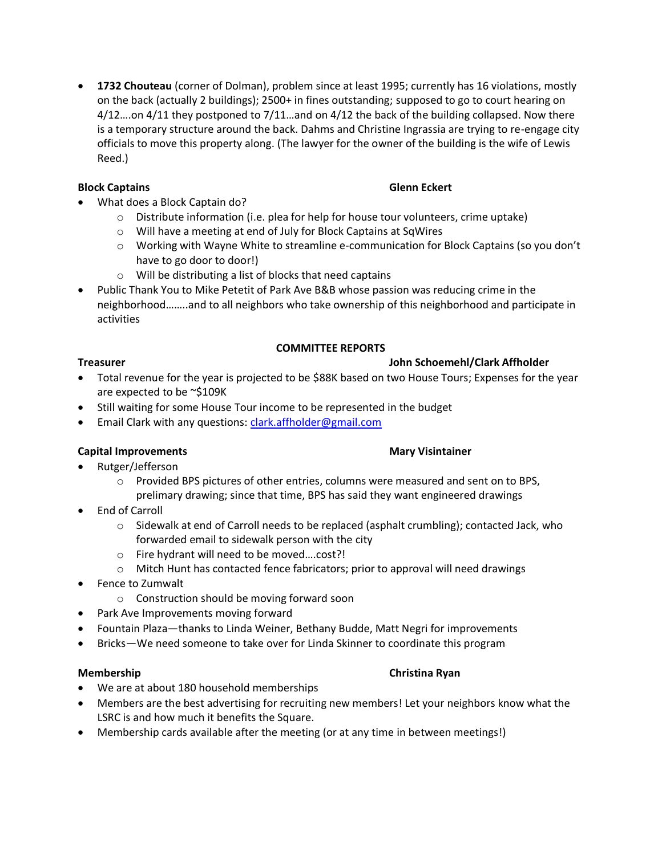**1732 Chouteau** (corner of Dolman), problem since at least 1995; currently has 16 violations, mostly on the back (actually 2 buildings); 2500+ in fines outstanding; supposed to go to court hearing on 4/12….on 4/11 they postponed to 7/11…and on 4/12 the back of the building collapsed. Now there is a temporary structure around the back. Dahms and Christine Ingrassia are trying to re-engage city officials to move this property along. (The lawyer for the owner of the building is the wife of Lewis Reed.)

## **Block Captains Glenn Eckert**

- What does a Block Captain do?
	- o Distribute information (i.e. plea for help for house tour volunteers, crime uptake)
	- o Will have a meeting at end of July for Block Captains at SqWires
	- o Working with Wayne White to streamline e-communication for Block Captains (so you don't have to go door to door!)
	- o Will be distributing a list of blocks that need captains
- Public Thank You to Mike Petetit of Park Ave B&B whose passion was reducing crime in the neighborhood……..and to all neighbors who take ownership of this neighborhood and participate in activities

## **COMMITTEE REPORTS**

## **Treasurer John Schoemehl/Clark Affholder**

- Total revenue for the year is projected to be \$88K based on two House Tours; Expenses for the year are expected to be ~\$109K
- Still waiting for some House Tour income to be represented in the budget
- **Email Clark with any questions[: clark.affholder@gmail.com](mailto:clark.affholder@gmail.com)**

# **Capital Improvements** Mary Visintainer

- Rutger/Jefferson
	- o Provided BPS pictures of other entries, columns were measured and sent on to BPS, prelimary drawing; since that time, BPS has said they want engineered drawings
- End of Carroll
	- $\circ$  Sidewalk at end of Carroll needs to be replaced (asphalt crumbling); contacted Jack, who forwarded email to sidewalk person with the city
	- o Fire hydrant will need to be moved….cost?!
	- o Mitch Hunt has contacted fence fabricators; prior to approval will need drawings
- Fence to Zumwalt
	- o Construction should be moving forward soon
- Park Ave Improvements moving forward
- Fountain Plaza—thanks to Linda Weiner, Bethany Budde, Matt Negri for improvements
- Bricks—We need someone to take over for Linda Skinner to coordinate this program

### **Membership Christian Ryan**

- We are at about 180 household memberships
- Members are the best advertising for recruiting new members! Let your neighbors know what the LSRC is and how much it benefits the Square.
- Membership cards available after the meeting (or at any time in between meetings!)